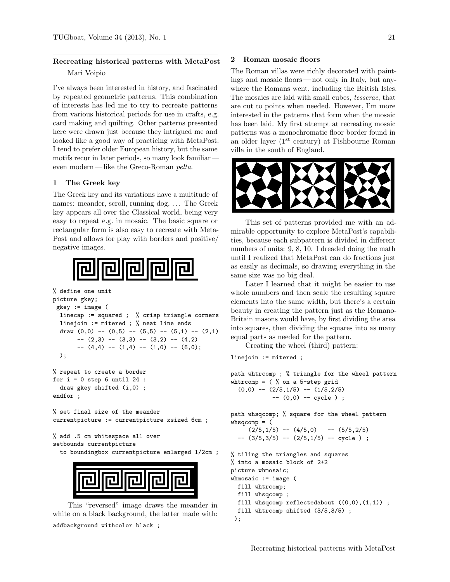# Recreating historical patterns with MetaPost Mari Voipio

I've always been interested in history, and fascinated by repeated geometric patterns. This combination of interests has led me to try to recreate patterns from various historical periods for use in crafts, e.g. card making and quilting. Other patterns presented here were drawn just because they intrigued me and looked like a good way of practicing with MetaPost. I tend to prefer older European history, but the same motifs recur in later periods, so many look familiar even modern — like the Greco-Roman pelta.

## 1 The Greek key

The Greek key and its variations have a multitude of names: meander, scroll, running dog, . . . The Greek key appears all over the Classical world, being very easy to repeat e.g. in mosaic. The basic square or rectangular form is also easy to recreate with Meta-Post and allows for play with borders and positive/ negative images.



```
% define one unit
picture gkey;
gkey := image (
 linecap := squared ; % crisp triangle corners
 linejoin := mitered ; % neat line ends
 draw (0,0) -- (0,5) -- (5,5) -- (5,1) -- (2,1)-- (2,3) -- (3,3) -- (3,2) -- (4,2)--(4,4) --(1,4) --(1,0) --(6,0););
```

```
% repeat to create a border
for i = 0 step 6 until 24 :
 draw gkey shifted (i,0) ;
endfor ;
```

```
% set final size of the meander
currentpicture := currentpicture xsized 6cm ;
```
% add .5 cm whitespace all over setbounds currentpicture

to boundingbox currentpicture enlarged 1/2cm ;



This "reversed" image draws the meander in white on a black background, the latter made with: addbackground withcolor black ;

#### 2 Roman mosaic floors

The Roman villas were richly decorated with paintings and mosaic floors— not only in Italy, but anywhere the Romans went, including the British Isles. The mosaics are laid with small cubes, tesserae, that are cut to points when needed. However, I'm more interested in the patterns that form when the mosaic has been laid. My first attempt at recreating mosaic patterns was a monochromatic floor border found in an older layer  $(1^{st}$  century) at Fishbourne Roman villa in the south of England.



This set of patterns provided me with an admirable opportunity to explore MetaPost's capabilities, because each subpattern is divided in different numbers of units: 9, 8, 10. I dreaded doing the math until I realized that MetaPost can do fractions just as easily as decimals, so drawing everything in the same size was no big deal.

Later I learned that it might be easier to use whole numbers and then scale the resulting square elements into the same width, but there's a certain beauty in creating the pattern just as the Romano-Britain masons would have, by first dividing the area into squares, then dividing the squares into as many equal parts as needed for the pattern.

Creating the wheel (third) pattern:

linejoin := mitered ;

```
path whtrcomp ; % triangle for the wheel pattern
whtrcomp = \binom{9}{6} on a 5-step grid
  (0,0) -- (2/5,1/5) -- (1/5,2/5)-- (0,0) -- cycle ) ;
```
path whsqcomp; % square for the wheel pattern  $whsqcomp = ($ 

```
(2/5, 1/5) -- (4/5, 0) -- (5/5, 2/5)- - (3/5,3/5) - - (2/5,1/5) - - cycle);
```

```
% tiling the triangles and squares
% into a mosaic block of 2+2
picture whmosaic;
whmosaic := image (
 fill whtrcomp;
 fill whsqcomp ;
 fill whsqcomp reflectedabout ((0,0),(1,1));
 fill whtrcomp shifted (3/5,3/5) ;
);
```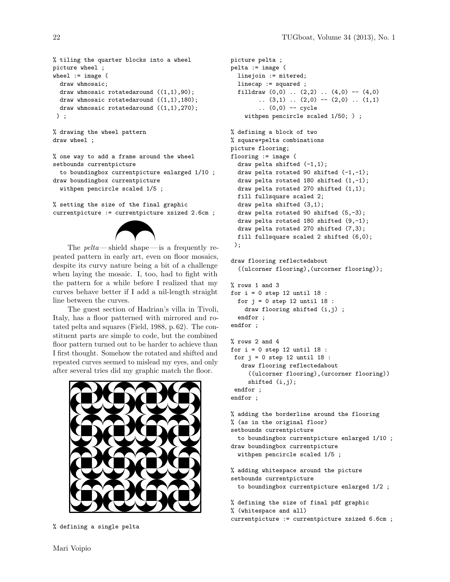```
% tiling the quarter blocks into a wheel
picture wheel ;
wheel := image (
 draw whmosaic;
 draw whmosaic rotatedaround ((1,1),90);
 draw whmosaic rotatedaround ((1,1),180);
 draw whmosaic rotatedaround ((1,1),270);
) ;
```

```
% drawing the wheel pattern
draw wheel ;
```

```
% one way to add a frame around the wheel
setbounds currentpicture
 to boundingbox currentpicture enlarged 1/10 ;
draw boundingbox currentpicture
 withpen pencircle scaled 1/5 ;
```
% setting the size of the final graphic currentpicture := currentpicture xsized 2.6cm ;



The  $\textit{pelta}$ —shield shape—is a frequently repeated pattern in early art, even on floor mosaics, despite its curvy nature being a bit of a challenge when laying the mosaic. I, too, had to fight with the pattern for a while before I realized that my curves behave better if I add a nil-length straight line between the curves.

The guest section of Hadrian's villa in Tivoli, Italy, has a floor patterned with mirrored and rotated pelta and squares (Field, 1988, p. 62). The constituent parts are simple to code, but the combined floor pattern turned out to be harder to achieve than I first thought. Somehow the rotated and shifted and repeated curves seemed to mislead my eyes, and only after several tries did my graphic match the floor.



% defining a single pelta

```
picture pelta ;
pelta := image (
  linejoin := mitered;
  linecap := squared ;
  filldraw (0,0) .. (2,2) .. (4,0) -- (4,0)(3,1) (2,0) -- (2,0) (1,1).. (0,0) -- cycle
    withpen pencircle scaled 1/50; ) ;
% defining a block of two
% square+pelta combinations
picture flooring;
flooring := image (
  draw pelta shifted (-1,1);
  draw pelta rotated 90 shifted (-1,-1);
  draw pelta rotated 180 shifted (1,-1);
  draw pelta rotated 270 shifted (1,1);
  fill fullsquare scaled 2;
  draw pelta shifted (3,1);
  draw pelta rotated 90 shifted (5,-3);
  draw pelta rotated 180 shifted (9,-1);
  draw pelta rotated 270 shifted (7,3);
  fill fullsquare scaled 2 shifted (6,0);
 );
draw flooring reflectedabout
  ((ulcorner flooring),(urcorner flooring));
% rows 1 and 3
for i = 0 step 12 until 18 :
  for j = 0 step 12 until 18 :
    draw flooring shifted (i,j) ;
```

```
endfor ;
endfor ;
```

```
% rows 2 and 4
for i = 0 step 12 until 18 :
for j = 0 step 12 until 18 :
  draw flooring reflectedabout
     ((ulcorner flooring),(urcorner flooring))
    shifted (i,j);
endfor ;
endfor ;
```

```
% adding the borderline around the flooring
% (as in the original floor)
setbounds currentpicture
  to boundingbox currentpicture enlarged 1/10 ;
draw boundingbox currentpicture
 withpen pencircle scaled 1/5 ;
```

```
% adding whitespace around the picture
setbounds currentpicture
 to boundingbox currentpicture enlarged 1/2 ;
```

```
% defining the size of final pdf graphic
% (whitespace and all)
currentpicture := currentpicture xsized 6.6cm ;
```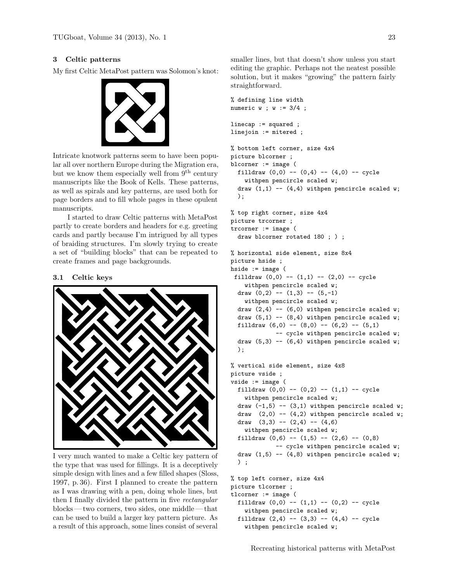# 3 Celtic patterns

My first Celtic MetaPost pattern was Solomon's knot:



Intricate knotwork patterns seem to have been popular all over northern Europe during the Migration era, but we know them especially well from  $9<sup>th</sup>$  century manuscripts like the Book of Kells. These patterns, as well as spirals and key patterns, are used both for page borders and to fill whole pages in these opulent manuscripts.

I started to draw Celtic patterns with MetaPost partly to create borders and headers for e.g. greeting cards and partly because I'm intrigued by all types of braiding structures. I'm slowly trying to create a set of "building blocks" that can be repeated to create frames and page backgrounds.

#### 3.1 Celtic keys



I very much wanted to make a Celtic key pattern of the type that was used for fillings. It is a deceptively simple design with lines and a few filled shapes (Sloss, 1997, p. 36). First I planned to create the pattern as I was drawing with a pen, doing whole lines, but then I finally divided the pattern in five rectangular blocks— two corners, two sides, one middle— that can be used to build a larger key pattern picture. As a result of this approach, some lines consist of several

smaller lines, but that doesn't show unless you start editing the graphic. Perhaps not the neatest possible solution, but it makes "growing" the pattern fairly straightforward.

```
% defining line width
numeric w ; w := 3/4 ;
linecap := squared ;
linejoin := mitered ;
% bottom left corner, size 4x4
picture blcorner ;
blcorner := image (
 filldraw (0,0) -- (0,4) -- (4,0) -- cycle
   withpen pencircle scaled w;
```

```
draw (1,1) -- (4,4) withpen pencircle scaled w;
);
```

```
% top right corner, size 4x4
picture trcorner ;
trcorner := image (
 draw blcorner rotated 180 ; ) ;
```

```
% horizontal side element, size 8x4
picture hside ;
hside := image (
 filldraw (0,0) -- (1,1) -- (2,0) -- cycle
    withpen pencircle scaled w;
  draw (0,2) -- (1,3) -- (5,-1)withpen pencircle scaled w;
  draw (2,4) -- (6,0) withpen pencircle scaled w;
  draw (5,1) -- (8,4) withpen pencircle scaled w;
  filldraw (6,0) -- (8,0) -- (6,2) -- (5,1)-- cycle withpen pencircle scaled w;
  draw (5,3) -- (6,4) withpen pencircle scaled w;
  );
```

```
% vertical side element, size 4x8
picture vside ;
vside := image (
 filldraw (0,0) -- (0,2) -- (1,1) -- cycle
   withpen pencircle scaled w;
 draw (-1,5) -- (3,1) withpen pencircle scaled w;
 draw (2,0) -- (4,2) withpen pencircle scaled w;
 draw (3,3) -- (2,4) -- (4,6)withpen pencircle scaled w;
  filldraw (0,6) -- (1,5) -- (2,6) -- (0,8)-- cycle withpen pencircle scaled w;
 draw (1,5) -- (4,8) withpen pencircle scaled w;
 ) ;
% top left corner, size 4x4
```

```
picture tlcorner ;
tlcorner := image (
 filldraw (0,0) -- (1,1) -- (0,2) -- cycle
    withpen pencircle scaled w;
 filldraw (2,4) -- (3,3) -- (4,4) -- cycle
   withpen pencircle scaled w;
```
Recreating historical patterns with MetaPost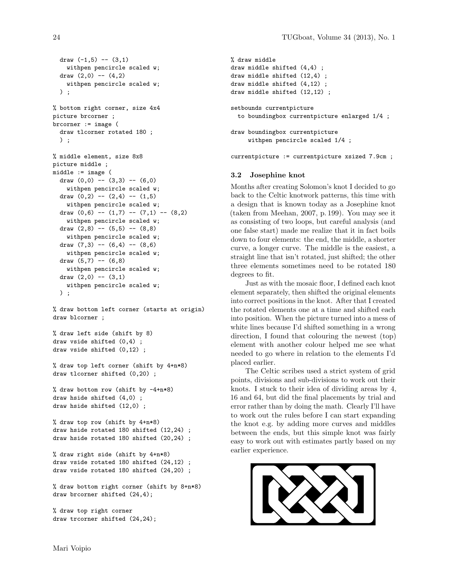```
draw (-1,5) -- (3,1)withpen pencircle scaled w;
draw (2,0) -- (4,2)withpen pencircle scaled w;
) ;
```

```
% bottom right corner, size 4x4
picture brcorner ;
brcorner := image (
 draw tlcorner rotated 180 ;
 ) ;
```

```
% middle element, size 8x8
picture middle ;
middle := image (
  draw (0,0) -- (3,3) -- (6,0)withpen pencircle scaled w;
  draw (0,2) -- (2,4) -- (1,5)withpen pencircle scaled w;
  draw (0,6) -- (1,7) -- (7,1) -- (8,2)withpen pencircle scaled w;
  draw (2,8) -- (5,5) -- (8,8)withpen pencircle scaled w;
  draw (7,3) -- (6,4) -- (8,6)withpen pencircle scaled w;
  draw (5,7) -- (6,8)withpen pencircle scaled w;
  draw (2,0) -- (3,1)withpen pencircle scaled w;
 ) ;
```
% draw bottom left corner (starts at origin) draw blcorner ;

```
% draw left side (shift by 8)
draw vside shifted (0,4) ;
draw vside shifted (0,12) ;
```

```
% draw top left corner (shift by 4+n*8)
draw tlcorner shifted (0,20) ;
```
% draw bottom row (shift by  $-4+n*8$ ) draw hside shifted (4,0) ; draw hside shifted (12,0) ;

```
% draw top row (shift by 4+n*8)
draw hside rotated 180 shifted (12,24) ;
draw hside rotated 180 shifted (20,24) ;
```

```
% draw right side (shift by 4+n*8)
draw vside rotated 180 shifted (24,12) ;
draw vside rotated 180 shifted (24,20) ;
```
% draw bottom right corner (shift by 8+n\*8) draw brcorner shifted (24,4);

```
% draw top right corner
draw trcorner shifted (24,24);
```

```
% draw middle
draw middle shifted (4,4) ;
draw middle shifted (12,4) ;
draw middle shifted (4,12) ;
draw middle shifted (12,12) ;
setbounds currentpicture
  to boundingbox currentpicture enlarged 1/4 ;
draw boundingbox currentpicture
     withpen pencircle scaled 1/4 ;
```
currentpicture := currentpicture xsized 7.9cm ;

#### 3.2 Josephine knot

Months after creating Solomon's knot I decided to go back to the Celtic knotwork patterns, this time with a design that is known today as a Josephine knot (taken from Meehan, 2007, p. 199). You may see it as consisting of two loops, but careful analysis (and one false start) made me realize that it in fact boils down to four elements: the end, the middle, a shorter curve, a longer curve. The middle is the easiest, a straight line that isn't rotated, just shifted; the other three elements sometimes need to be rotated 180 degrees to fit.

Just as with the mosaic floor, I defined each knot element separately, then shifted the original elements into correct positions in the knot. After that I created the rotated elements one at a time and shifted each into position. When the picture turned into a mess of white lines because I'd shifted something in a wrong direction, I found that colouring the newest (top) element with another colour helped me see what needed to go where in relation to the elements I'd placed earlier.

The Celtic scribes used a strict system of grid points, divisions and sub-divisions to work out their knots. I stuck to their idea of dividing areas by 4, 16 and 64, but did the final placements by trial and error rather than by doing the math. Clearly I'll have to work out the rules before I can start expanding the knot e.g. by adding more curves and middles between the ends, but this simple knot was fairly easy to work out with estimates partly based on my earlier experience.